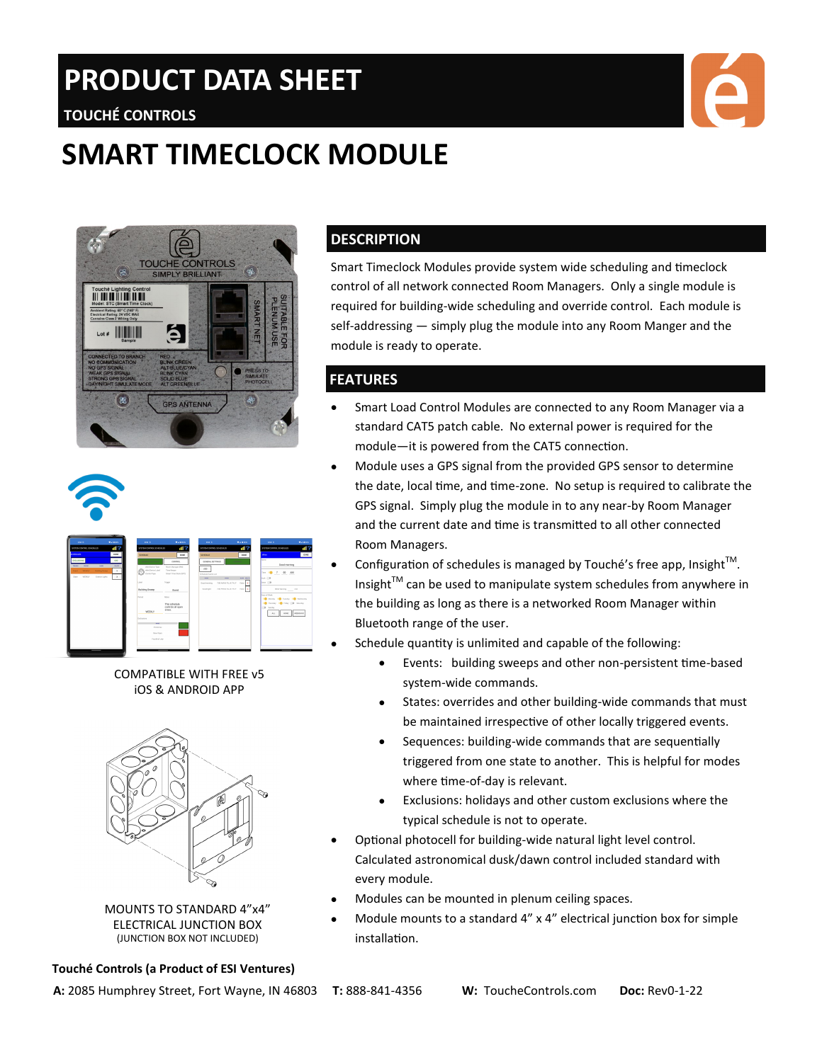# **PRODUCT DATA SHEET**

# **TOUCHÉ CONTROLS**

# **SMART TIMECLOCK MODULE**







COMPATIBLE WITH FREE v5 iOS & ANDROID APP



MOUNTS TO STANDARD 4"x4" ELECTRICAL JUNCTION BOX (JUNCTION BOX NOT INCLUDED)

#### **Touché Controls (a Product of ESI Ventures)**

### **DESCRIPTION**

Smart Timeclock Modules provide system wide scheduling and timeclock control of all network connected Room Managers. Only a single module is required for building-wide scheduling and override control. Each module is self-addressing — simply plug the module into any Room Manger and the module is ready to operate.

### **FEATURES**

- Smart Load Control Modules are connected to any Room Manager via a standard CAT5 patch cable. No external power is required for the module—it is powered from the CAT5 connection.
- Module uses a GPS signal from the provided GPS sensor to determine the date, local time, and time-zone. No setup is required to calibrate the GPS signal. Simply plug the module in to any near-by Room Manager and the current date and time is transmitted to all other connected Room Managers.
- Configuration of schedules is managed by Touché's free app, Insight $^{TM}$ . Insight $TM$  can be used to manipulate system schedules from anywhere in the building as long as there is a networked Room Manager within Bluetooth range of the user.
- Schedule quantity is unlimited and capable of the following:
	- Events: building sweeps and other non-persistent time-based system-wide commands.
	- States: overrides and other building-wide commands that must be maintained irrespective of other locally triggered events.
	- Sequences: building-wide commands that are sequentially triggered from one state to another. This is helpful for modes where time-of-day is relevant.
	- Exclusions: holidays and other custom exclusions where the typical schedule is not to operate.
- Optional photocell for building-wide natural light level control. Calculated astronomical dusk/dawn control included standard with every module.
- Modules can be mounted in plenum ceiling spaces.
- Module mounts to a standard 4" x 4" electrical junction box for simple installation.